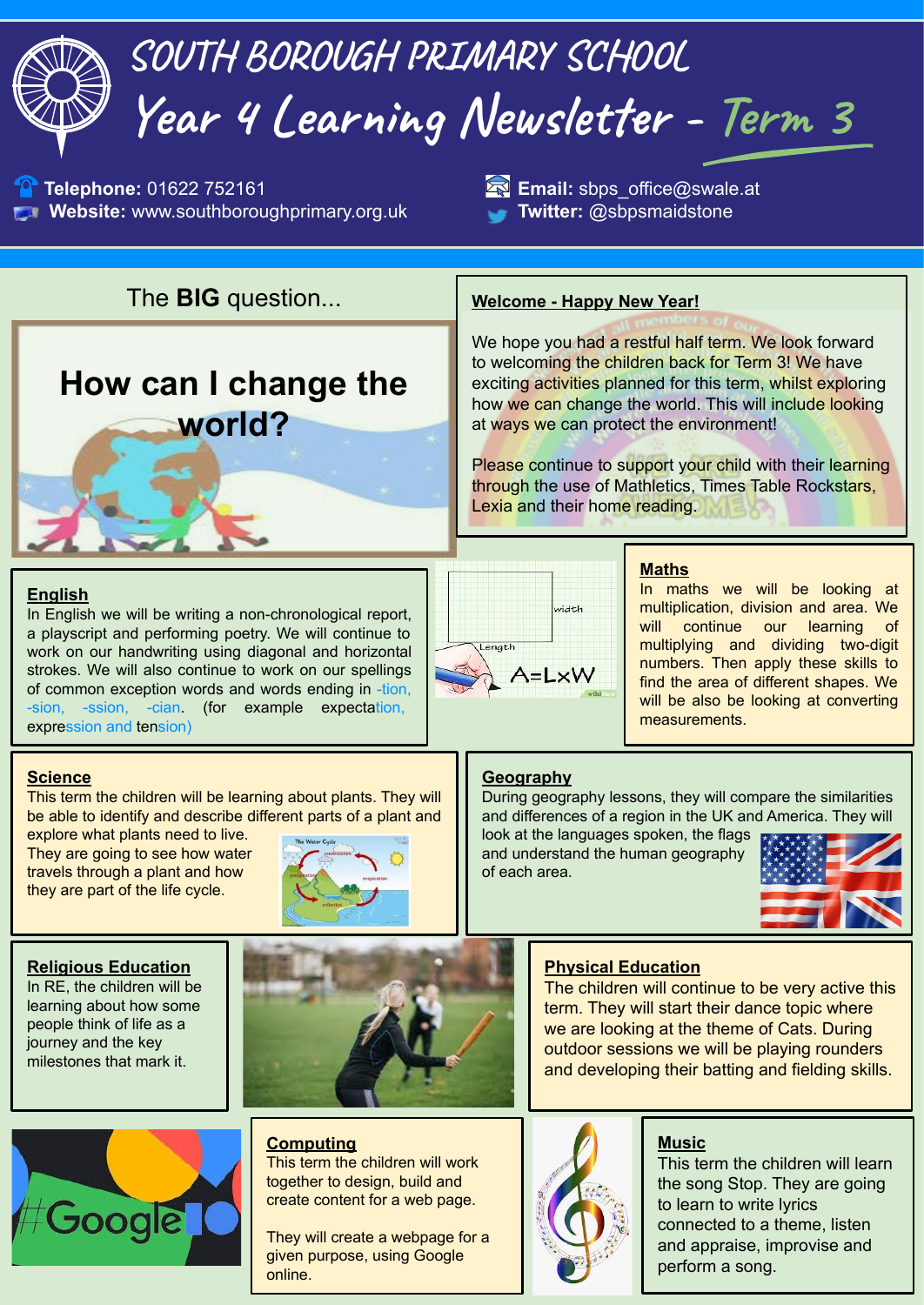# **SOUTH BOROUGH PRIMARY SCHOOL Year 4 Learning Newsletter - Term 3**

**1** Telephone: 01622 752161 **Email:** sbps\_office@swale.at **Website:** www.southboroughprimary.org.uk **Twitter:** @sbpsmaidstone

The **BIG** question... **Welcome - Happy New Year!**

# **How can I change the world?**

We hope you had a restful half term. We look forward to welcoming the children back for Term 3! We have exciting activities planned for this term, whilst exploring how we can change the world. This will include looking at ways we can protect the environment!

Please continue to support your child with their learning through the use of Mathletics, Times Table Rockstars, Lexia and their home reading.

# **English**

In English we will be writing a non-chronological report, a playscript and performing poetry. We will continue to work on our handwriting using diagonal and horizontal strokes. We will also continue to work on our spellings of common exception words and words ending in -tion, -sion, -ssion, -cian. (for example expectation, expression and tension)



# **Maths**

In maths we will be looking at multiplication, division and area. We will continue our learning multiplying and dividing two-digit numbers. Then apply these skills to find the area of different shapes. We will be also be looking at converting measurements.

## **Science**

This term the children will be learning about plants. They will be able to identify and describe different parts of a plant and

explore what plants need to live. They are going to see how water travels through a plant and how they are part of the life cycle.



### **Religious Education**

In RE, the children will be learning about how some people think of life as a journey and the key milestones that mark it.



This term the children will work together to design, build and create content for a web page.

They will create a webpage for a given purpose, using Google online.

# **Geography**

During geography lessons, they will compare the similarities and differences of a region in the UK and America. They will

look at the languages spoken, the flags and understand the human geography of each area.



# **Physical Education**

The children will continue to be very active this term. They will start their dance topic where we are looking at the theme of Cats. During outdoor sessions we will be playing rounders and developing their batting and fielding skills.



# **Music**

This term the children will learn the song Stop. They are going to learn to write lyrics connected to a theme, listen and appraise, improvise and perform a song.